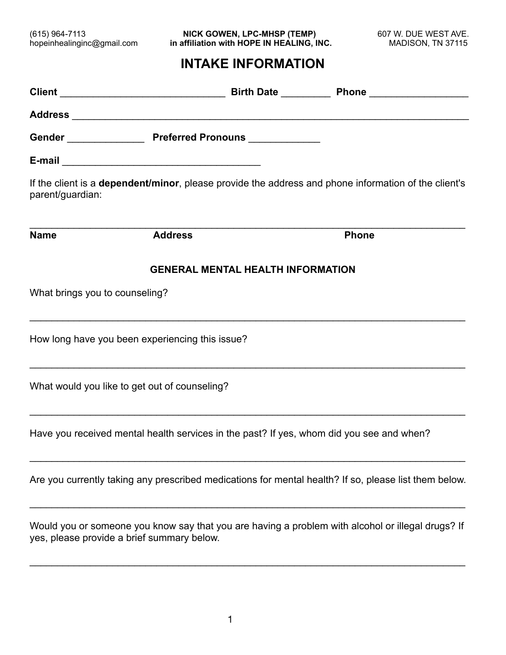(615) 964-7113 **NICK GOWEN, LPC-MHSP (TEMP)** 607 W. DUE WEST AVE. hopeinhealinginc@gmail.com **in affiliation with HOPE IN HEALING, INC.** MADISON, TN 37115

# **INTAKE INFORMATION**

| If the client is a <b>dependent/minor</b> , please provide the address and phone information of the client's<br>parent/guardian:                |                |  |              |  |
|-------------------------------------------------------------------------------------------------------------------------------------------------|----------------|--|--------------|--|
| <b>Name</b>                                                                                                                                     | <b>Address</b> |  | <b>Phone</b> |  |
| <b>GENERAL MENTAL HEALTH INFORMATION</b><br>What brings you to counseling?                                                                      |                |  |              |  |
| How long have you been experiencing this issue?                                                                                                 |                |  |              |  |
| What would you like to get out of counseling?                                                                                                   |                |  |              |  |
| Have you received mental health services in the past? If yes, whom did you see and when?                                                        |                |  |              |  |
| Are you currently taking any prescribed medications for mental health? If so, please list them below.                                           |                |  |              |  |
| Would you or someone you know say that you are having a problem with alcohol or illegal drugs? If<br>yes, please provide a brief summary below. |                |  |              |  |

 $\_$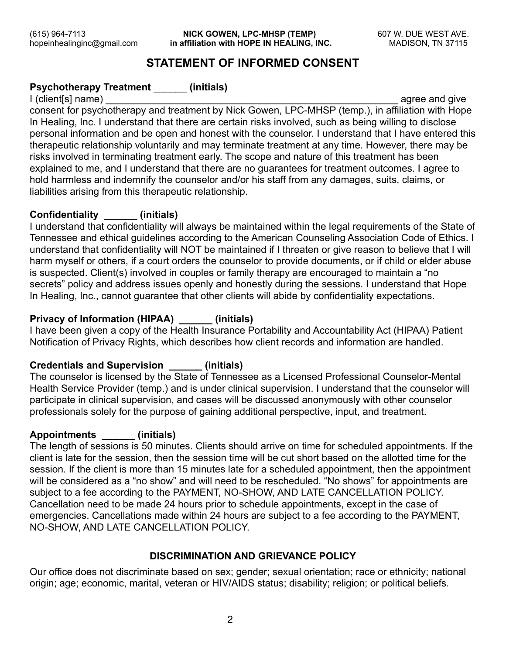(615) 964-7113 **NICK GOWEN, LPC-MHSP (TEMP)** 607 W. DUE WEST AVE. hopeinhealinginc@gmail.com **in affiliation with HOPE IN HEALING, INC.** MADISON, TN 37115

# **STATEMENT OF INFORMED CONSENT**

# **Psychotherapy Treatment** \_\_\_\_\_\_ **(initials)**

I (client[s] name) and the state of the state of the state of the state of the state of the state of the state of the state of the state of the state of the state of the state of the state of the state of the state of the consent for psychotherapy and treatment by Nick Gowen, LPC-MHSP (temp.), in affiliation with Hope In Healing, Inc. I understand that there are certain risks involved, such as being willing to disclose personal information and be open and honest with the counselor. I understand that I have entered this therapeutic relationship voluntarily and may terminate treatment at any time. However, there may be risks involved in terminating treatment early. The scope and nature of this treatment has been explained to me, and I understand that there are no guarantees for treatment outcomes. I agree to hold harmless and indemnify the counselor and/or his staff from any damages, suits, claims, or liabilities arising from this therapeutic relationship.

# **Confidentiality** \_\_\_\_\_\_ **(initials)**

I understand that confidentiality will always be maintained within the legal requirements of the State of Tennessee and ethical guidelines according to the American Counseling Association Code of Ethics. I understand that confidentiality will NOT be maintained if I threaten or give reason to believe that I will harm myself or others, if a court orders the counselor to provide documents, or if child or elder abuse is suspected. Client(s) involved in couples or family therapy are encouraged to maintain a "no secrets" policy and address issues openly and honestly during the sessions. I understand that Hope In Healing, Inc., cannot guarantee that other clients will abide by confidentiality expectations.

# **Privacy of Information (HIPAA) \_\_\_\_\_\_ (initials)**

I have been given a copy of the Health Insurance Portability and Accountability Act (HIPAA) Patient Notification of Privacy Rights, which describes how client records and information are handled.

# **Credentials and Supervision \_\_\_\_\_\_ (initials)**

The counselor is licensed by the State of Tennessee as a Licensed Professional Counselor-Mental Health Service Provider (temp.) and is under clinical supervision. I understand that the counselor will participate in clinical supervision, and cases will be discussed anonymously with other counselor professionals solely for the purpose of gaining additional perspective, input, and treatment.

# **Appointments \_\_\_\_\_\_ (initials)**

The length of sessions is 50 minutes. Clients should arrive on time for scheduled appointments. If the client is late for the session, then the session time will be cut short based on the allotted time for the session. If the client is more than 15 minutes late for a scheduled appointment, then the appointment will be considered as a "no show" and will need to be rescheduled. "No shows" for appointments are subject to a fee according to the PAYMENT, NO-SHOW, AND LATE CANCELLATION POLICY. Cancellation need to be made 24 hours prior to schedule appointments, except in the case of emergencies. Cancellations made within 24 hours are subject to a fee according to the PAYMENT, NO-SHOW, AND LATE CANCELLATION POLICY.

# **DISCRIMINATION AND GRIEVANCE POLICY**

Our office does not discriminate based on sex; gender; sexual orientation; race or ethnicity; national origin; age; economic, marital, veteran or HIV/AIDS status; disability; religion; or political beliefs.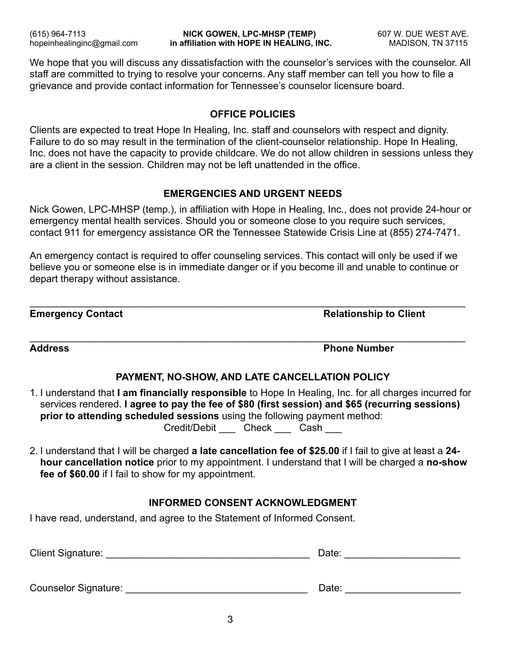We hope that you will discuss any dissatisfaction with the counselor's services with the counselor. All staff are committed to trying to resolve your concerns. Any staff member can tell you how to file a grievance and provide contact information for Tennessee's counselor licensure board.

#### **OFFICE POLICIES**

Clients are expected to treat Hope In Healing, Inc. staff and counselors with respect and dignity. Failure to do so may result in the termination of the client-counselor relationship. Hope In Healing, Inc. does not have the capacity to provide childcare. We do not allow children in sessions unless they are a client in the session. Children may not be left unattended in the office.

#### **EMERGENCIES AND URGENT NEEDS**

Nick Gowen, LPC-MHSP (temp.), in affiliation with Hope in Healing, Inc., does not provide 24-hour or emergency mental health services. Should you or someone close to you require such services, contact 911 for emergency assistance OR the Tennessee Statewide Crisis Line at (855) 274-7471.

An emergency contact is required to offer counseling services. This contact will only be used if we believe you or someone else is in immediate danger or if you become ill and unable to continue or depart therapy without assistance.

 $\_$ 

 $\_$ 

**Emergency Contact Contact Contact Contact Contact Contact Contact Contact Contact Contact Contact Contact Contact Contact Contact Contact Contact Contact Contact Contact Contact Contact Contact Contact Contact Contact Con** 

**Address Phone Number** 

# **PAYMENT, NO-SHOW, AND LATE CANCELLATION POLICY**

1. I understand that **I am financially responsible** to Hope In Healing, Inc. for all charges incurred for services rendered. **I agree to pay the fee of \$80 (first session) and \$65 (recurring sessions) prior to attending scheduled sessions** using the following payment method: Credit/Debit \_ Check \_ Cash

2. I understand that I will be charged **a late cancellation fee of \$25.00** if I fail to give at least a **24 hour cancellation notice** prior to my appointment. I understand that I will be charged a **no-show fee of \$60.00** if I fail to show for my appointment.

# **INFORMED CONSENT ACKNOWLEDGMENT**

I have read, understand, and agree to the Statement of Informed Consent.

| Client Signature:    | Date: |  |
|----------------------|-------|--|
|                      |       |  |
| Counselor Signature: | Date: |  |